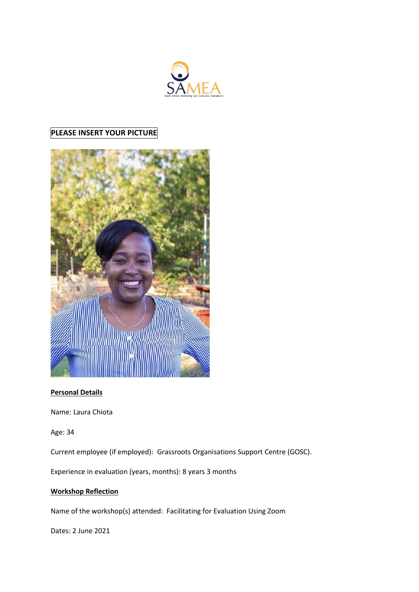

## **PLEASE INSERT YOUR PICTURE**



## **Personal Details**

Name: Laura Chiota

Age: 34

Current employee (if employed): Grassroots Organisations Support Centre (GOSC).

Experience in evaluation (years, months): 8 years 3 months

## **Workshop Reflection**

Name of the workshop(s) attended: Facilitating for Evaluation Using Zoom

Dates: 2 June 2021